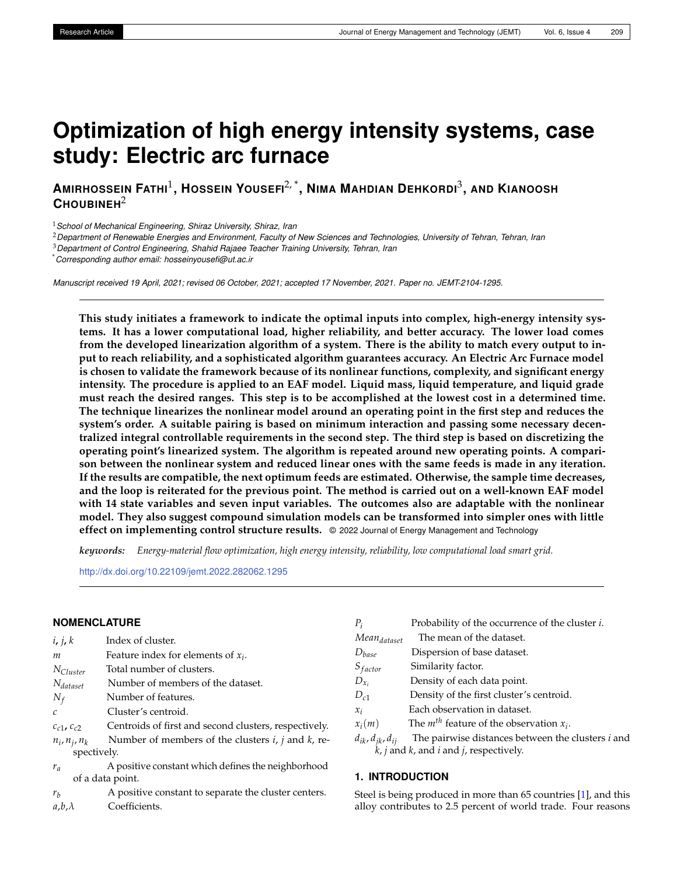# **Optimization of high energy intensity systems, case study: Electric arc furnace**

**AMIRHOSSEIN FATHI**<sup>1</sup> **, HOSSEIN YOUSEFI**2, \* **, NIMA MAHDIAN DEHKORDI**<sup>3</sup> **, AND KIANOOSH CHOUBINEH**<sup>2</sup>

<sup>1</sup>*School of Mechanical Engineering, Shiraz University, Shiraz, Iran*

<sup>2</sup>*Department of Renewable Energies and Environment, Faculty of New Sciences and Technologies, University of Tehran, Tehran, Iran*

<sup>3</sup>*Department of Control Engineering, Shahid Rajaee Teacher Training University, Tehran, Iran*

\**Corresponding author email: hosseinyousefi@ut.ac.ir*

*Manuscript received 19 April, 2021; revised 06 October, 2021; accepted 17 November, 2021. Paper no. JEMT-2104-1295.*

**This study initiates a framework to indicate the optimal inputs into complex, high-energy intensity systems. It has a lower computational load, higher reliability, and better accuracy. The lower load comes from the developed linearization algorithm of a system. There is the ability to match every output to input to reach reliability, and a sophisticated algorithm guarantees accuracy. An Electric Arc Furnace model is chosen to validate the framework because of its nonlinear functions, complexity, and significant energy intensity. The procedure is applied to an EAF model. Liquid mass, liquid temperature, and liquid grade must reach the desired ranges. This step is to be accomplished at the lowest cost in a determined time. The technique linearizes the nonlinear model around an operating point in the first step and reduces the system's order. A suitable pairing is based on minimum interaction and passing some necessary decentralized integral controllable requirements in the second step. The third step is based on discretizing the operating point's linearized system. The algorithm is repeated around new operating points. A comparison between the nonlinear system and reduced linear ones with the same feeds is made in any iteration. If the results are compatible, the next optimum feeds are estimated. Otherwise, the sample time decreases, and the loop is reiterated for the previous point. The method is carried out on a well-known EAF model with 14 state variables and seven input variables. The outcomes also are adaptable with the nonlinear model. They also suggest compound simulation models can be transformed into simpler ones with little effect on implementing control structure results.** © 2022 Journal of Energy Management and Technology

*keywords: Energy-material flow optimization, high energy intensity, reliability, low computational load smart grid.*

<http://dx.doi.org/10.22109/jemt.2022.282062.1295>

## **NOMENCLATURE**

| i, j, k               | Index of cluster.                                         |
|-----------------------|-----------------------------------------------------------|
| m                     | Feature index for elements of $x_i$ .                     |
| $N_{Cluster}$         | Total number of clusters.                                 |
| $N_{dataset}$         | Number of members of the dataset.                         |
| $N_f$                 | Number of features.                                       |
| C                     | Cluster's centroid.                                       |
| $c_{c1}$ , $c_{c2}$   | Centroids of first and second clusters, respectively.     |
| $n_i$ , $n_j$ , $n_k$ | Number of members of the clusters $i$ , $j$ and $k$ , re- |
| spectively.           |                                                           |
| $r_a$                 | A positive constant which defines the neighborhood        |
|                       | of a data point.                                          |
|                       |                                                           |

*r<sup>b</sup>* A positive constant to separate the cluster centers. *a*,*b*,*λ* Coefficients.

| $P_i$                          | Probability of the occurrence of the cluster <i>i</i> .  |
|--------------------------------|----------------------------------------------------------|
| Mean <sub>dataset</sub>        | The mean of the dataset.                                 |
| $D_{base}$                     | Dispersion of base dataset.                              |
| $S_{factor}$                   | Similarity factor.                                       |
| $D_{x_i}$                      | Density of each data point.                              |
| $D_{c1}$                       | Density of the first cluster's centroid.                 |
| $\mathcal{X}_i$                | Each observation in dataset.                             |
| $x_i(m)$                       | The $m^{th}$ feature of the observation $x_i$ .          |
| $d_{ik}$ , $d_{ik}$ , $d_{ij}$ | The pairwise distances between the clusters <i>i</i> and |
|                                |                                                          |

*k*, *j* and *k*, and *i* and *j*, respectively.

## **1. INTRODUCTION**

Steel is being produced in more than 65 countries [\[1\]](#page-6-0), and this alloy contributes to 2.5 percent of world trade. Four reasons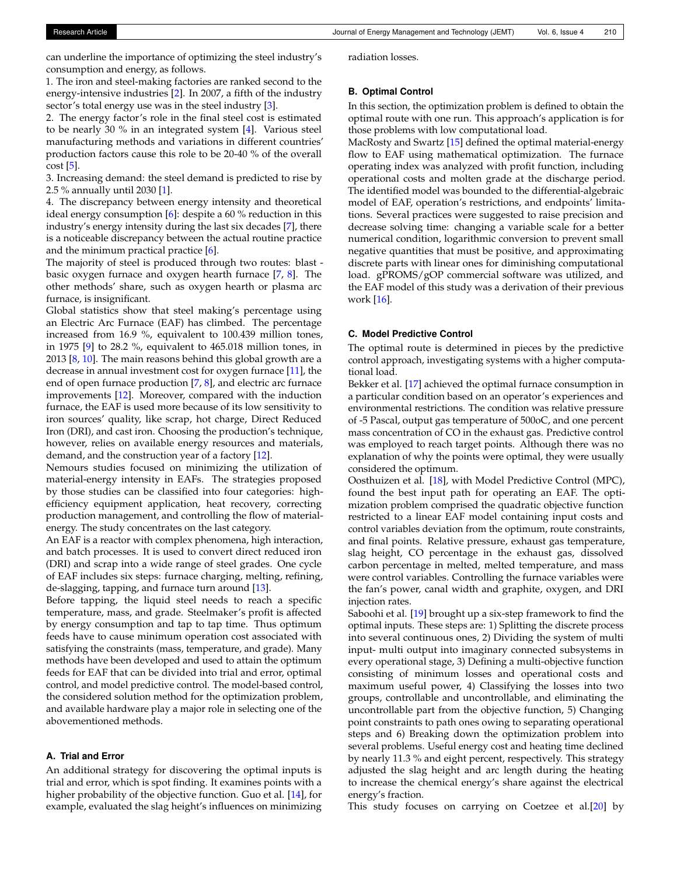can underline the importance of optimizing the steel industry's consumption and energy, as follows.

1. The iron and steel-making factories are ranked second to the energy-intensive industries [\[2\]](#page-6-1). In 2007, a fifth of the industry sector's total energy use was in the steel industry [\[3\]](#page-6-2).

2. The energy factor's role in the final steel cost is estimated to be nearly 30 % in an integrated system [\[4\]](#page-6-3). Various steel manufacturing methods and variations in different countries' production factors cause this role to be 20-40 % of the overall  $cost$  [\[5\]](#page-6-4).

3. Increasing demand: the steel demand is predicted to rise by 2.5 % annually until 2030 [\[1\]](#page-6-0).

4. The discrepancy between energy intensity and theoretical ideal energy consumption [\[6\]](#page-6-5): despite a 60 % reduction in this industry's energy intensity during the last six decades [\[7\]](#page-6-6), there is a noticeable discrepancy between the actual routine practice and the minimum practical practice [\[6\]](#page-6-5).

The majority of steel is produced through two routes: blast basic oxygen furnace and oxygen hearth furnace [\[7,](#page-6-6) [8\]](#page-6-7). The other methods' share, such as oxygen hearth or plasma arc furnace, is insignificant.

Global statistics show that steel making's percentage using an Electric Arc Furnace (EAF) has climbed. The percentage increased from 16.9 %, equivalent to 100.439 million tones, in 1975 [\[9\]](#page-6-8) to 28.2 %, equivalent to 465.018 million tones, in 2013  $[8, 10]$  $[8, 10]$  $[8, 10]$ . The main reasons behind this global growth are a decrease in annual investment cost for oxygen furnace [\[11\]](#page-6-10), the end of open furnace production [\[7,](#page-6-6) [8\]](#page-6-7), and electric arc furnace improvements [\[12\]](#page-6-11). Moreover, compared with the induction furnace, the EAF is used more because of its low sensitivity to iron sources' quality, like scrap, hot charge, Direct Reduced Iron (DRI), and cast iron. Choosing the production's technique, however, relies on available energy resources and materials, demand, and the construction year of a factory [\[12\]](#page-6-11).

Nemours studies focused on minimizing the utilization of material-energy intensity in EAFs. The strategies proposed by those studies can be classified into four categories: highefficiency equipment application, heat recovery, correcting production management, and controlling the flow of materialenergy. The study concentrates on the last category.

An EAF is a reactor with complex phenomena, high interaction, and batch processes. It is used to convert direct reduced iron (DRI) and scrap into a wide range of steel grades. One cycle of EAF includes six steps: furnace charging, melting, refining, de-slagging, tapping, and furnace turn around [\[13\]](#page-6-12).

Before tapping, the liquid steel needs to reach a specific temperature, mass, and grade. Steelmaker's profit is affected by energy consumption and tap to tap time. Thus optimum feeds have to cause minimum operation cost associated with satisfying the constraints (mass, temperature, and grade). Many methods have been developed and used to attain the optimum feeds for EAF that can be divided into trial and error, optimal control, and model predictive control. The model-based control, the considered solution method for the optimization problem, and available hardware play a major role in selecting one of the abovementioned methods.

## **A. Trial and Error**

An additional strategy for discovering the optimal inputs is trial and error, which is spot finding. It examines points with a higher probability of the objective function. Guo et al. [\[14\]](#page-6-13), for example, evaluated the slag height's influences on minimizing radiation losses.

## **B. Optimal Control**

In this section, the optimization problem is defined to obtain the optimal route with one run. This approach's application is for those problems with low computational load.

MacRosty and Swartz [\[15\]](#page-6-14) defined the optimal material-energy flow to EAF using mathematical optimization. The furnace operating index was analyzed with profit function, including operational costs and molten grade at the discharge period. The identified model was bounded to the differential-algebraic model of EAF, operation's restrictions, and endpoints' limitations. Several practices were suggested to raise precision and decrease solving time: changing a variable scale for a better numerical condition, logarithmic conversion to prevent small negative quantities that must be positive, and approximating discrete parts with linear ones for diminishing computational load. gPROMS/gOP commercial software was utilized, and the EAF model of this study was a derivation of their previous work [\[16\]](#page-6-15).

## **C. Model Predictive Control**

The optimal route is determined in pieces by the predictive control approach, investigating systems with a higher computational load.

Bekker et al. [\[17\]](#page-6-16) achieved the optimal furnace consumption in a particular condition based on an operator's experiences and environmental restrictions. The condition was relative pressure of -5 Pascal, output gas temperature of 500oC, and one percent mass concentration of CO in the exhaust gas. Predictive control was employed to reach target points. Although there was no explanation of why the points were optimal, they were usually considered the optimum.

Oosthuizen et al. [\[18\]](#page-6-17), with Model Predictive Control (MPC), found the best input path for operating an EAF. The optimization problem comprised the quadratic objective function restricted to a linear EAF model containing input costs and control variables deviation from the optimum, route constraints, and final points. Relative pressure, exhaust gas temperature, slag height, CO percentage in the exhaust gas, dissolved carbon percentage in melted, melted temperature, and mass were control variables. Controlling the furnace variables were the fan's power, canal width and graphite, oxygen, and DRI injection rates.

Saboohi et al. [\[19\]](#page-6-18) brought up a six-step framework to find the optimal inputs. These steps are: 1) Splitting the discrete process into several continuous ones, 2) Dividing the system of multi input- multi output into imaginary connected subsystems in every operational stage, 3) Defining a multi-objective function consisting of minimum losses and operational costs and maximum useful power, 4) Classifying the losses into two groups, controllable and uncontrollable, and eliminating the uncontrollable part from the objective function, 5) Changing point constraints to path ones owing to separating operational steps and 6) Breaking down the optimization problem into several problems. Useful energy cost and heating time declined by nearly 11.3 % and eight percent, respectively. This strategy adjusted the slag height and arc length during the heating to increase the chemical energy's share against the electrical energy's fraction.

This study focuses on carrying on Coetzee et al.[\[20\]](#page-6-19) by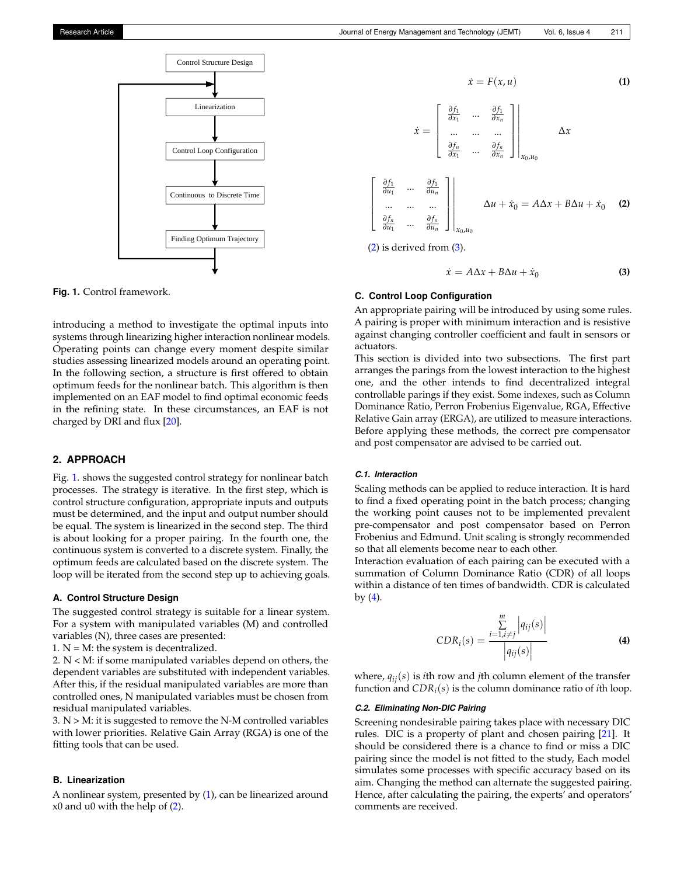<span id="page-2-0"></span>

**Fig. 1.** Control framework.

introducing a method to investigate the optimal inputs into systems through linearizing higher interaction nonlinear models. Operating points can change every moment despite similar studies assessing linearized models around an operating point. In the following section, a structure is first offered to obtain optimum feeds for the nonlinear batch. This algorithm is then implemented on an EAF model to find optimal economic feeds in the refining state. In these circumstances, an EAF is not charged by DRI and flux [\[20\]](#page-6-19).

# **2. APPROACH**

Fig. [1.](#page-2-0) shows the suggested control strategy for nonlinear batch processes. The strategy is iterative. In the first step, which is control structure configuration, appropriate inputs and outputs must be determined, and the input and output number should be equal. The system is linearized in the second step. The third is about looking for a proper pairing. In the fourth one, the continuous system is converted to a discrete system. Finally, the optimum feeds are calculated based on the discrete system. The loop will be iterated from the second step up to achieving goals.

#### **A. Control Structure Design**

The suggested control strategy is suitable for a linear system. For a system with manipulated variables (M) and controlled variables (N), three cases are presented:

1.  $N = M$ : the system is decentralized.

2. N < M: if some manipulated variables depend on others, the dependent variables are substituted with independent variables. After this, if the residual manipulated variables are more than controlled ones, N manipulated variables must be chosen from residual manipulated variables.

 $3. N > M$ : it is suggested to remove the N-M controlled variables with lower priorities. Relative Gain Array (RGA) is one of the fitting tools that can be used.

# **B. Linearization**

A nonlinear system, presented by [\(1\)](#page-2-1), can be linearized around x0 and u0 with the help of [\(2\)](#page-2-2).

<span id="page-2-1"></span>
$$
\dot{x} = F(x, u)
$$
\n(1)  
\n
$$
\dot{x} = \begin{bmatrix}\n\frac{\partial f_1}{\partial x_1} & \cdots & \frac{\partial f_1}{\partial x_n} \\
\vdots & \vdots & \ddots & \vdots \\
\frac{\partial f_n}{\partial x_1} & \cdots & \frac{\partial f_n}{\partial x_n}\n\end{bmatrix}\n\begin{bmatrix}\n\lambda x \\
\lambda x\n\end{bmatrix}
$$
\n
$$
\begin{bmatrix}\n\frac{\partial f_1}{\partial u_1} & \cdots & \frac{\partial f_1}{\partial u_n} \\
\vdots & \vdots & \ddots & \vdots \\
\frac{\partial f_n}{\partial u_1} & \cdots & \frac{\partial f_n}{\partial u_n}\n\end{bmatrix}\n\begin{bmatrix}\n\lambda u + \dot{x}_0 = A\Delta x + B\Delta u + \dot{x}_0\n\end{bmatrix}
$$
\n(2)  
\n(2) is derived from (3).

<span id="page-2-2"></span>

<span id="page-2-3"></span>
$$
\dot{x} = A\Delta x + B\Delta u + \dot{x}_0 \tag{3}
$$

## **C. Control Loop Configuration**

An appropriate pairing will be introduced by using some rules. A pairing is proper with minimum interaction and is resistive against changing controller coefficient and fault in sensors or actuators.

This section is divided into two subsections. The first part arranges the parings from the lowest interaction to the highest one, and the other intends to find decentralized integral controllable parings if they exist. Some indexes, such as Column Dominance Ratio, Perron Frobenius Eigenvalue, RGA, Effective Relative Gain array (ERGA), are utilized to measure interactions. Before applying these methods, the correct pre compensator and post compensator are advised to be carried out.

### *C.1. Interaction*

Scaling methods can be applied to reduce interaction. It is hard to find a fixed operating point in the batch process; changing the working point causes not to be implemented prevalent pre-compensator and post compensator based on Perron Frobenius and Edmund. Unit scaling is strongly recommended so that all elements become near to each other.

Interaction evaluation of each pairing can be executed with a summation of Column Dominance Ratio (CDR) of all loops within a distance of ten times of bandwidth. CDR is calculated by  $(4)$ .

<span id="page-2-4"></span>
$$
CDR_i(s) = \frac{\sum_{i=1, i \neq j}^{m} |q_{ij}(s)|}{|q_{ij}(s)|}
$$
\n(4)

where, *qij*(*s*) is *i*th row and *j*th column element of the transfer function and *CDR<sup>i</sup>* (*s*) is the column dominance ratio of *i*th loop.

### *C.2. Eliminating Non-DIC Pairing*

Screening nondesirable pairing takes place with necessary DIC rules. DIC is a property of plant and chosen pairing [\[21\]](#page-6-20). It should be considered there is a chance to find or miss a DIC pairing since the model is not fitted to the study, Each model simulates some processes with specific accuracy based on its aim. Changing the method can alternate the suggested pairing. Hence, after calculating the pairing, the experts' and operators' comments are received.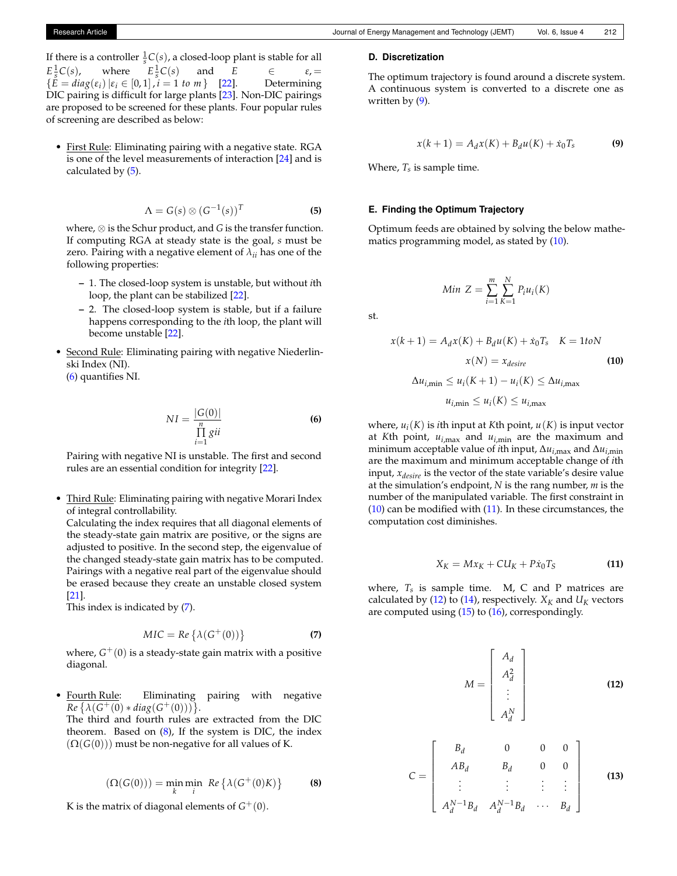If there is a controller  $\frac{1}{s}C(s)$ , a closed-loop plant is stable for all  $E^{\frac{1}{s}}$  $where$  $\frac{1}{s}C(s)$  and *E*  $\epsilon$ , =  ${E = diag(\varepsilon_i) | \varepsilon_i \in [0,1], i = 1 \text{ to } m}$  [\[22\]](#page-6-21). Determining DIC pairing is difficult for large plants [\[23\]](#page-6-22). Non-DIC pairings are proposed to be screened for these plants. Four popular rules of screening are described as below:

• First Rule: Eliminating pairing with a negative state. RGA is one of the level measurements of interaction [\[24\]](#page-6-23) and is calculated by [\(5\)](#page-3-0).

<span id="page-3-0"></span>
$$
\Lambda = G(s) \otimes (G^{-1}(s))^T
$$
 (5)

where, ⊗ is the Schur product, and *G* is the transfer function. If computing RGA at steady state is the goal, *s* must be zero. Pairing with a negative element of *λii* has one of the following properties:

- **–** 1. The closed-loop system is unstable, but without *i*th loop, the plant can be stabilized [\[22\]](#page-6-21).
- **–** 2. The closed-loop system is stable, but if a failure happens corresponding to the *i*th loop, the plant will become unstable [\[22\]](#page-6-21).
- Second Rule: Eliminating pairing with negative Niederlinski Index (NI).

[\(6\)](#page-3-1) quantifies NI.

<span id="page-3-1"></span>
$$
NI = \frac{|G(0)|}{\prod_{i=1}^{n} g^{ii}}
$$
 (6)

Pairing with negative NI is unstable. The first and second rules are an essential condition for integrity [\[22\]](#page-6-21).

• Third Rule: Eliminating pairing with negative Morari Index of integral controllability.

Calculating the index requires that all diagonal elements of the steady-state gain matrix are positive, or the signs are adjusted to positive. In the second step, the eigenvalue of the changed steady-state gain matrix has to be computed. Pairings with a negative real part of the eigenvalue should be erased because they create an unstable closed system [\[21\]](#page-6-20).

This index is indicated by [\(7\)](#page-3-2).

<span id="page-3-2"></span>
$$
MIC = Re \left\{ \lambda (G^+(0)) \right\}
$$
 (7)

where,  $G^+(0)$  is a steady-state gain matrix with a positive diagonal.

• Fourth Rule: Eliminating pairing with negative  $Re\left\{\lambda(G^+(0)*diag(G^+(0)))\right\}.$ 

The third and fourth rules are extracted from the DIC theorem. Based on  $(8)$ , If the system is DIC, the index  $(\Omega(G(0)))$  must be non-negative for all values of K.

<span id="page-3-3"></span>
$$
(\Omega(G(0))) = \min_{k} \min_{i} \ Re \left\{ \lambda(G^{+}(0)K) \right\}
$$
 (8)

K is the matrix of diagonal elements of  $G^+(0)$ .

### **D. Discretization**

The optimum trajectory is found around a discrete system. A continuous system is converted to a discrete one as written by [\(9\)](#page-3-4).

<span id="page-3-4"></span>
$$
x(k+1) = A_d x(K) + B_d u(K) + \dot{x}_0 T_s
$$
 (9)

Where, *Ts* is sample time.

### **E. Finding the Optimum Trajectory**

Optimum feeds are obtained by solving the below mathematics programming model, as stated by  $(10)$ .

$$
Min Z = \sum_{i=1}^{m} \sum_{K=1}^{N} P_i u_i(K)
$$

st.

$$
x(k+1) = A_d x(K) + B_d u(K) + \dot{x}_0 T_s \quad K = 1 \text{to } N
$$

$$
x(N) = x_{desire}
$$

$$
\Delta u_{i, \text{min}} \le u_i(K+1) - u_i(K) \le \Delta u_{i, \text{max}}
$$
(10)

<span id="page-3-5"></span>
$$
u_{i,\min} \le u_i(K) \le u_{i,\max}
$$

where, *u<sup>i</sup>* (*K*) is *i*th input at *K*th point, *u*(*K*) is input vector at *K*th point,  $u_{i, \max}$  and  $u_{i, \min}$  are the maximum and minimum acceptable value of *i*th input,  $\Delta u_{i,\text{max}}$  and  $\Delta u_{i,\text{min}}$ are the maximum and minimum acceptable change of *i*th input, *xdesire* is the vector of the state variable's desire value at the simulation's endpoint, *N* is the rang number, *m* is the number of the manipulated variable. The first constraint in [\(10\)](#page-3-5) can be modified with [\(11\)](#page-3-6). In these circumstances, the computation cost diminishes.

<span id="page-3-6"></span>
$$
X_K = Mx_K + CU_K + P\dot{x}_0T_S \tag{11}
$$

where,  $T_s$  is sample time. M, C and P matrices are calculated by [\(12\)](#page-3-7) to [\(14\)](#page-4-0), respectively.  $X_K$  and  $U_K$  vectors are computed using [\(15\)](#page-4-1) to [\(16\)](#page-4-2), correspondingly.

<span id="page-3-7"></span>
$$
M = \begin{bmatrix} A_d \\ A_d^2 \\ \vdots \\ A_d^N \end{bmatrix}
$$
(12)  

$$
= \begin{bmatrix} B_d & 0 & 0 & 0 \\ AB_d & B_d & 0 & 0 \\ \vdots & \vdots & \vdots & \vdots \\ A_d^{N-1}B_d & A_d^{N-1}B_d & \cdots & B_d \end{bmatrix}
$$
(13)

 $\mathcal{C}$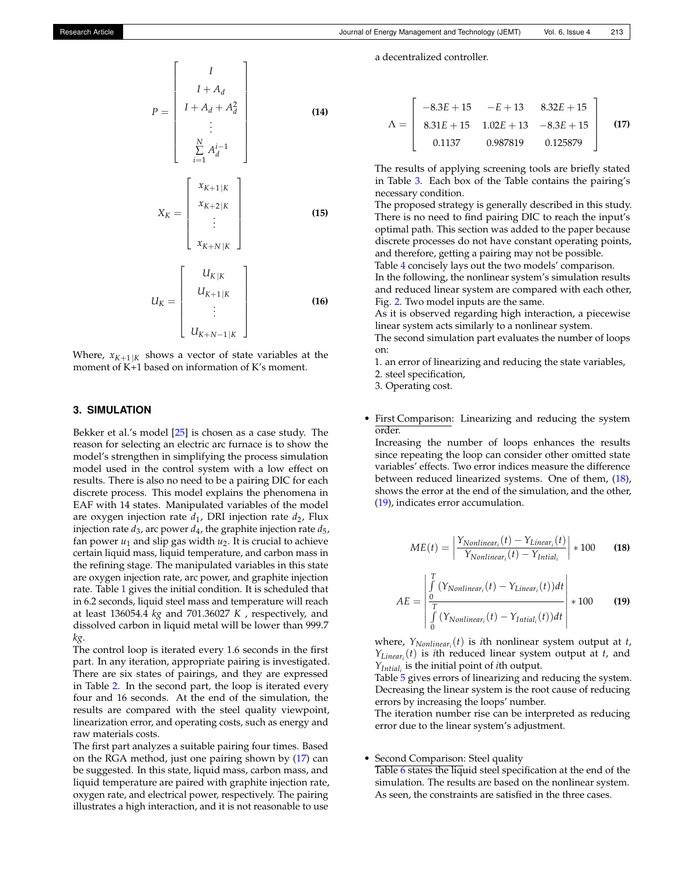<span id="page-4-1"></span><span id="page-4-0"></span>
$$
X_K = \begin{bmatrix} x_{K+1|K} \\ x_{K+2|K} \\ \vdots \\ x_{K+N|K} \end{bmatrix}
$$
 (15)

<span id="page-4-2"></span>
$$
U_K = \left[ \begin{array}{c} U_{K|K} \\ U_{K+1|K} \\ \vdots \\ U_{K+N-1|K} \end{array} \right] \tag{16}
$$

Where,  $x_{K+1|K}$  shows a vector of state variables at the moment of K+1 based on information of K's moment.

# **3. SIMULATION**

Bekker et al.'s model [\[25\]](#page-7-0) is chosen as a case study. The reason for selecting an electric arc furnace is to show the model's strengthen in simplifying the process simulation model used in the control system with a low effect on results. There is also no need to be a pairing DIC for each discrete process. This model explains the phenomena in EAF with 14 states. Manipulated variables of the model are oxygen injection rate  $d_1$ , DRI injection rate  $d_2$ , Flux injection rate *d*3, arc power *d*<sup>4</sup> , the graphite injection rate *d*5, fan power  $u_1$  and slip gas width  $u_2$ . It is crucial to achieve certain liquid mass, liquid temperature, and carbon mass in the refining stage. The manipulated variables in this state are oxygen injection rate, arc power, and graphite injection rate. Table [1](#page-5-0) gives the initial condition. It is scheduled that in 6.2 seconds, liquid steel mass and temperature will reach at least 136054.4 *kg* and 701.36027 *K* , respectively, and dissolved carbon in liquid metal will be lower than 999.7 *kg*.

The control loop is iterated every 1.6 seconds in the first part. In any iteration, appropriate pairing is investigated. There are six states of pairings, and they are expressed in Table [2.](#page-5-1) In the second part, the loop is iterated every four and 16 seconds. At the end of the simulation, the results are compared with the steel quality viewpoint, linearization error, and operating costs, such as energy and raw materials costs.

The first part analyzes a suitable pairing four times. Based on the RGA method, just one pairing shown by [\(17\)](#page-4-3) can be suggested. In this state, liquid mass, carbon mass, and liquid temperature are paired with graphite injection rate, oxygen rate, and electrical power, respectively. The pairing illustrates a high interaction, and it is not reasonable to use a decentralized controller.

<span id="page-4-3"></span>
$$
\Lambda = \begin{bmatrix} -8.3E + 15 & -E + 13 & 8.32E + 15 \\ 8.31E + 15 & 1.02E + 13 & -8.3E + 15 \\ 0.1137 & 0.987819 & 0.125879 \end{bmatrix}
$$
 (17)

The results of applying screening tools are briefly stated in Table [3.](#page-5-2) Each box of the Table contains the pairing's necessary condition.

The proposed strategy is generally described in this study. There is no need to find pairing DIC to reach the input's optimal path. This section was added to the paper because discrete processes do not have constant operating points, and therefore, getting a pairing may not be possible.

Table [4](#page-5-3) concisely lays out the two models' comparison. In the following, the nonlinear system's simulation results and reduced linear system are compared with each other, Fig. [2.](#page-5-4) Two model inputs are the same.

As it is observed regarding high interaction, a piecewise linear system acts similarly to a nonlinear system.

The second simulation part evaluates the number of loops on:

1. an error of linearizing and reducing the state variables,

2. steel specification,

3. Operating cost.

• First Comparison: Linearizing and reducing the system order.

Increasing the number of loops enhances the results since repeating the loop can consider other omitted state variables' effects. Two error indices measure the difference between reduced linearized systems. One of them, [\(18\)](#page-4-4), shows the error at the end of the simulation, and the other, [\(19\)](#page-4-5), indicates error accumulation.

<span id="page-4-4"></span>
$$
ME(t) = \left| \frac{Y_{Nonlinear_i}(t) - Y_{Linear_i}(t)}{Y_{Nonlinear_i}(t) - Y_{Initial_i}} \right| * 100
$$
 (18)

<span id="page-4-5"></span>
$$
AE = \begin{vmatrix} \int_{0}^{T} (Y_{Nonlinear_i}(t) - Y_{Linear_i}(t))dt \\ \frac{0}{T} \\ \int_{0}^{T} (Y_{Nonlinear_i}(t) - Y_{Initial_i}(t))dt \end{vmatrix} * 100
$$
 (19)

where, *YNonlinear<sup>i</sup>* (*t*) is *i*th nonlinear system output at *t*, *YLinear<sup>i</sup>* (*t*) is *i*th reduced linear system output at *t*, and *YIntial<sup>i</sup>* is the initial point of *i*th output.

Table [5](#page-6-24) gives errors of linearizing and reducing the system. Decreasing the linear system is the root cause of reducing errors by increasing the loops' number.

The iteration number rise can be interpreted as reducing error due to the linear system's adjustment.

Second Comparison: Steel quality

Table [6](#page-6-25) states the liquid steel specification at the end of the simulation. The results are based on the nonlinear system. As seen, the constraints are satisfied in the three cases.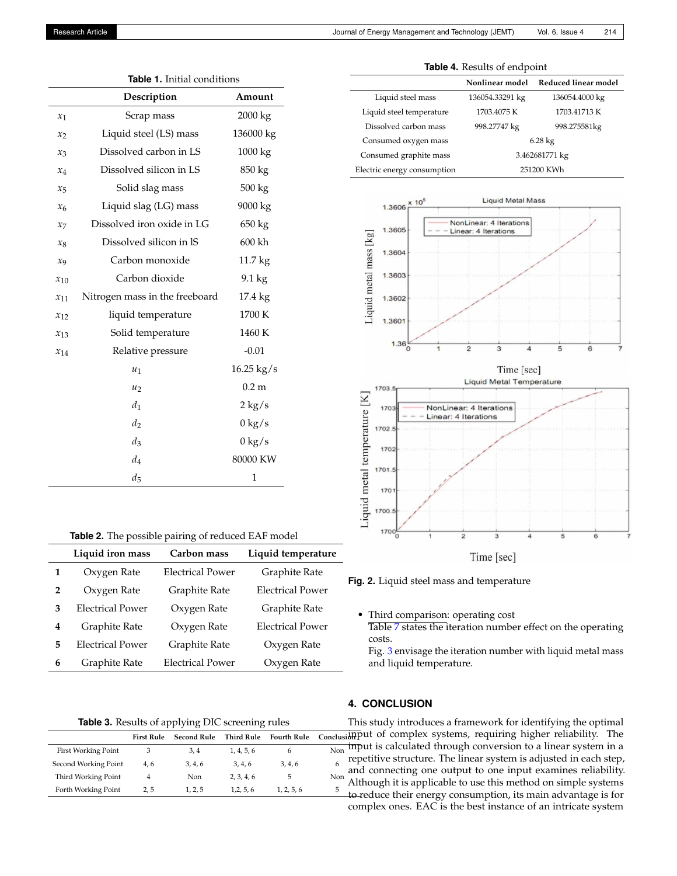<span id="page-5-0"></span>

|          | Description                    | Amount           |
|----------|--------------------------------|------------------|
| $x_1$    | Scrap mass                     | 2000 kg          |
| $x_2$    | Liquid steel (LS) mass         | 136000 kg        |
| $x_3$    | Dissolved carbon in LS         | 1000 kg          |
| $x_4$    | Dissolved silicon in LS        | 850 kg           |
| $x_{5}$  | Solid slag mass                | 500 kg           |
| $x_{6}$  | Liquid slag (LG) mass          | 9000 kg          |
| $x_7$    | Dissolved iron oxide in LG     | 650 kg           |
| $x_8$    | Dissolved silicon in IS        | 600 kh           |
| $x_{9}$  | Carbon monoxide                | 11.7 kg          |
| $x_{10}$ | Carbon dioxide                 | 9.1 kg           |
| $x_{11}$ | Nitrogen mass in the freeboard | 17.4 kg          |
| $x_{12}$ | liquid temperature             | 1700 K           |
| $x_{13}$ | Solid temperature              | 1460 K           |
| $x_{14}$ | Relative pressure              | $-0.01$          |
|          | $u_1$                          | $16.25$ kg/s     |
|          | $u_2$                          | 0.2 <sub>m</sub> |
|          | $d_1$                          | $2 \text{ kg/s}$ |
|          | $d_2$                          | $0 \text{ kg/s}$ |
|          | $d_3$                          | $0 \text{ kg/s}$ |
|          | $d_4$                          | 80000 KW         |
|          | $d_5$                          | $\mathbf{1}$     |

<span id="page-5-1"></span>

| <b>Table 2.</b> The possible pairing of reduced EAF model |  |  |
|-----------------------------------------------------------|--|--|
|-----------------------------------------------------------|--|--|

|   | Liquid iron mass        | Carbon mass             | Liquid temperature      |
|---|-------------------------|-------------------------|-------------------------|
| 1 | Oxygen Rate             | <b>Electrical Power</b> | Graphite Rate           |
| 2 | Oxygen Rate             | Graphite Rate           | <b>Electrical Power</b> |
| 3 | <b>Electrical Power</b> | Oxygen Rate             | Graphite Rate           |
| 4 | Graphite Rate           | Oxygen Rate             | <b>Electrical Power</b> |
| 5 | <b>Electrical Power</b> | Graphite Rate           | Oxygen Rate             |
| 6 | Graphite Rate           | <b>Electrical Power</b> | Oxygen Rate             |

# **Table 3.** Results of applying DIC screening rules

<span id="page-5-2"></span>

|                            | <b>First Rule</b> | <b>Second Rule</b> | <b>Third Rule</b> | <b>Fourth Rule</b> | Conclusidh |
|----------------------------|-------------------|--------------------|-------------------|--------------------|------------|
| <b>First Working Point</b> | З                 | 3, 4               | 1, 4, 5, 6        | 6                  | ın<br>Non  |
| Second Working Point       | 4.6               | 3, 4, 6            | 3, 4, 6           | 3, 4, 6            | re         |
| Third Working Point        |                   | Non                | 2, 3, 4, 6        | 5                  | ar<br>Non  |
| Forth Working Point        | 2.5               | 1, 2, 5            | 1,2,5,6           | 1, 2, 5, 6         | 5<br>ŧθ    |
|                            |                   |                    |                   |                    |            |

|  |  |  | <b>Table 4.</b> Results of endpoint |  |  |  |  |  |
|--|--|--|-------------------------------------|--|--|--|--|--|
|--|--|--|-------------------------------------|--|--|--|--|--|

<span id="page-5-3"></span>

|                             | Nonlinear model | Reduced linear model |  |
|-----------------------------|-----------------|----------------------|--|
| Liquid steel mass           | 136054.33291 kg | 136054.4000 kg       |  |
| Liquid steel temperature    | 1703.4075 K     | 1703.41713 K         |  |
| Dissolved carbon mass       | 998.27747 kg    | 998.275581kg         |  |
| Consumed oxygen mass        |                 | $6.28 \text{ kg}$    |  |
| Consumed graphite mass      | 3.462681771 kg  |                      |  |
| Electric energy consumption | 251200 KWh      |                      |  |

<span id="page-5-4"></span>

**Fig. 2.** Liquid steel mass and temperature

• Third comparison: operating cost Table [7](#page-6-26) states the iteration number effect on the operating costs.

Fig. [3](#page-6-27) envisage the iteration number with liquid metal mass and liquid temperature.

## **4. CONCLUSION**

This study introduces a framework for identifying the optimal signput of complex systems, requiring higher reliability. The input is calculated through conversion to a linear system in a repetitive structure. The linear system is adjusted in each step, and connecting one output to one input examines reliability. Although it is applicable to use this method on simple systems to reduce their energy consumption, its main advantage is for complex ones. EAC is the best instance of an intricate system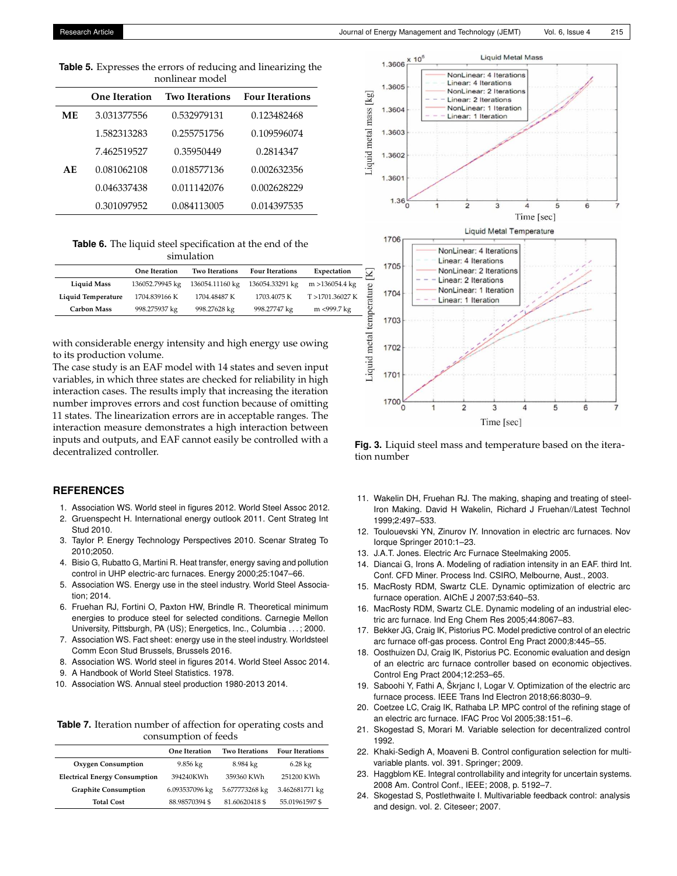<span id="page-6-24"></span>**Table 5.** Expresses the errors of reducing and linearizing the nonlinear model

|     | <b>One Iteration</b> | <b>Two Iterations</b> | <b>Four Iterations</b> |
|-----|----------------------|-----------------------|------------------------|
| ME. | 3.031377556          | 0.532979131           | 0.123482468            |
|     | 1.582313283          | 0.255751756           | 0.109596074            |
|     | 7.462519527          | 0.35950449            | 0.2814347              |
| AE. | 0.081062108          | 0.018577136           | 0.002632356            |
|     | 0.046337438          | 0.011142076           | 0.002628229            |
|     | 0.301097952          | 0.084113005           | 0.014397535            |

<span id="page-6-25"></span>**Table 6.** The liquid steel specification at the end of the simulation

|                    | <b>One Iteration</b> | <b>Two Iterations</b> | <b>Four Iterations</b> | Expectation       |
|--------------------|----------------------|-----------------------|------------------------|-------------------|
| <b>Liquid Mass</b> | 136052.79945 kg      | 136054.11160 kg       | 136054.33291 kg        | $m > 136054.4$ kg |
| Liquid Temperature | 1704.839166 K        | 1704.48487 K          | 1703.4075 K            | T >1701.36027 K   |
| <b>Carbon Mass</b> | 998.275937 kg        | 998.27628 kg          | 998.27747 kg           | m <999.7 kg       |

with considerable energy intensity and high energy use owing to its production volume.

The case study is an EAF model with 14 states and seven input variables, in which three states are checked for reliability in high interaction cases. The results imply that increasing the iteration number improves errors and cost function because of omitting 11 states. The linearization errors are in acceptable ranges. The interaction measure demonstrates a high interaction between inputs and outputs, and EAF cannot easily be controlled with a decentralized controller.

# **REFERENCES**

- <span id="page-6-0"></span>1. Association WS. World steel in figures 2012. World Steel Assoc 2012.
- <span id="page-6-1"></span>2. Gruenspecht H. International energy outlook 2011. Cent Strateg Int Stud 2010.
- <span id="page-6-2"></span>3. Taylor P. Energy Technology Perspectives 2010. Scenar Strateg To 2010;2050.
- <span id="page-6-3"></span>4. Bisio G, Rubatto G, Martini R. Heat transfer, energy saving and pollution control in UHP electric-arc furnaces. Energy 2000;25:1047–66.
- <span id="page-6-4"></span>5. Association WS. Energy use in the steel industry. World Steel Association; 2014.
- <span id="page-6-5"></span>6. Fruehan RJ, Fortini O, Paxton HW, Brindle R. Theoretical minimum energies to produce steel for selected conditions. Carnegie Mellon University, Pittsburgh, PA (US); Energetics, Inc., Columbia . . . ; 2000.
- <span id="page-6-6"></span>7. Association WS. Fact sheet: energy use in the steel industry. Worldsteel Comm Econ Stud Brussels, Brussels 2016.
- <span id="page-6-7"></span>8. Association WS. World steel in figures 2014. World Steel Assoc 2014.
- <span id="page-6-8"></span>9. A Handbook of World Steel Statistics. 1978.
- <span id="page-6-9"></span>10. Association WS. Annual steel production 1980-2013 2014.

<span id="page-6-26"></span>**Table 7.** Iteration number of affection for operating costs and consumption of feeds

|                                      | <b>One Iteration</b> | <b>Two Iterations</b> | <b>Four Iterations</b> |  |  |
|--------------------------------------|----------------------|-----------------------|------------------------|--|--|
| <b>Oxygen Consumption</b>            | $9.856 \text{ kg}$   | 8.984 kg              | $6.28 \text{ kg}$      |  |  |
| <b>Electrical Energy Consumption</b> | 394240KWh            | 359360 KWh            | 251200 KWh             |  |  |
| <b>Graphite Consumption</b>          | 6.093537096 kg       | 5.677773268 kg        | 3.462681771 kg         |  |  |
| <b>Total Cost</b>                    | 88.98570394 \$       | 81.60620418 \$        | 55.01961597 \$         |  |  |

<span id="page-6-27"></span>

**Fig. 3.** Liquid steel mass and temperature based on the iteration number

- <span id="page-6-10"></span>11. Wakelin DH, Fruehan RJ. The making, shaping and treating of steel-Iron Making. David H Wakelin, Richard J Fruehan//Latest Technol 1999;2:497–533.
- <span id="page-6-11"></span>12. Toulouevski YN, Zinurov IY. Innovation in electric arc furnaces. Nov Iorque Springer 2010:1–23.
- <span id="page-6-12"></span>13. J.A.T. Jones. Electric Arc Furnace Steelmaking 2005.
- <span id="page-6-13"></span>14. Diancai G, Irons A. Modeling of radiation intensity in an EAF. third Int. Conf. CFD Miner. Process Ind. CSIRO, Melbourne, Aust., 2003.
- <span id="page-6-14"></span>15. MacRosty RDM, Swartz CLE. Dynamic optimization of electric arc furnace operation. AIChE J 2007;53:640–53.
- <span id="page-6-15"></span>16. MacRosty RDM, Swartz CLE. Dynamic modeling of an industrial electric arc furnace. Ind Eng Chem Res 2005;44:8067–83.
- <span id="page-6-16"></span>17. Bekker JG, Craig IK, Pistorius PC. Model predictive control of an electric arc furnace off-gas process. Control Eng Pract 2000;8:445–55.
- <span id="page-6-17"></span>18. Oosthuizen DJ, Craig IK, Pistorius PC. Economic evaluation and design of an electric arc furnace controller based on economic objectives. Control Eng Pract 2004;12:253–65.
- <span id="page-6-18"></span>19. Saboohi Y, Fathi A, Škrjanc I, Logar V. Optimization of the electric arc furnace process. IEEE Trans Ind Electron 2018;66:8030–9.
- <span id="page-6-19"></span>20. Coetzee LC, Craig IK, Rathaba LP. MPC control of the refining stage of an electric arc furnace. IFAC Proc Vol 2005;38:151–6.
- <span id="page-6-20"></span>21. Skogestad S, Morari M. Variable selection for decentralized control 1992.
- <span id="page-6-21"></span>22. Khaki-Sedigh A, Moaveni B. Control configuration selection for multivariable plants. vol. 391. Springer; 2009.
- <span id="page-6-22"></span>23. Haggblom KE. Integral controllability and integrity for uncertain systems. 2008 Am. Control Conf., IEEE; 2008, p. 5192–7.
- <span id="page-6-23"></span>24. Skogestad S, Postlethwaite I. Multivariable feedback control: analysis and design. vol. 2. Citeseer; 2007.